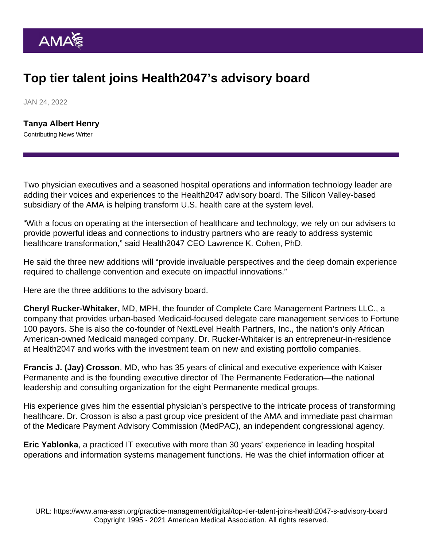## Top tier talent joins Health2047's advisory board

JAN 24, 2022

[Tanya Albert Henry](https://www.ama-assn.org/news-leadership-viewpoints/authors-news-leadership-viewpoints/tanya-albert-henry) Contributing News Writer

Two physician executives and a seasoned hospital operations and information technology leader are adding their voices and experiences to the [Health2047](https://health2047.com/) advisory board. The Silicon Valley-based subsidiary of the AMA is helping transform U.S. health care at the system level.

"With a focus on operating at the intersection of healthcare and technology, we rely on our advisers to provide powerful ideas and connections to industry partners who are ready to address systemic healthcare transformation," said Health2047 CEO Lawrence K. Cohen, PhD.

He said the three new additions will "provide invaluable perspectives and the deep domain experience required to challenge convention and execute on impactful innovations."

Here are the three additions to the advisory board.

Cheryl Rucker-Whitaker , MD, MPH, the founder of Complete Care Management Partners LLC., a company that provides urban-based Medicaid-focused delegate care management services to Fortune 100 payors. She is also the co-founder of NextLevel Health Partners, Inc., the nation's only African American-owned Medicaid managed company. Dr. Rucker-Whitaker is an entrepreneur-in-residence at Health2047 and works with the investment team on new and existing portfolio companies.

Francis J. (Jay) Crosson , MD, who has 35 years of clinical and executive experience with Kaiser Permanente and is the founding executive director of The Permanente Federation—the national leadership and consulting organization for the eight Permanente medical groups.

His experience gives him the essential physician's perspective to the intricate process of transforming healthcare. Dr. Crosson is also a past group vice president of the AMA and immediate past chairman of the Medicare Payment Advisory Commission (MedPAC), an independent congressional agency.

Eric Yablonka , a practiced IT executive with more than 30 years' experience in leading hospital operations and information systems management functions. He was the chief information officer at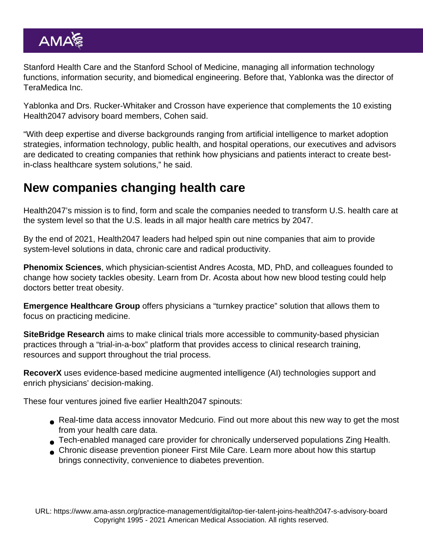Stanford Health Care and the Stanford School of Medicine, managing all information technology functions, information security, and biomedical engineering. Before that, Yablonka was the director of TeraMedica Inc.

Yablonka and Drs. Rucker-Whitaker and Crosson have experience that complements the 10 existing Health2047 advisory board members, Cohen said.

"With deep expertise and diverse backgrounds ranging from artificial intelligence to market adoption strategies, information technology, public health, and hospital operations, our executives and advisors are dedicated to creating companies that rethink how physicians and patients interact to create bestin-class healthcare system solutions," he said.

## New companies changing health care

Health2047's mission is to find, form and scale the companies needed to transform U.S. health care at the system level so that the U.S. leads in all major health care metrics by 2047.

By the end of 2021, Health2047 leaders had helped spin out [nine companies](https://health2047.com/portfolio/) that aim to provide system-level solutions in data, chronic care and radical productivity.

[Phenomix Sciences](https://www.phenomixsciences.com/) , which physician-scientist Andres Acosta, MD, PhD, and colleagues founded to change how society tackles obesity. Learn from Dr. Acosta about [how new blood testing could help](https://www.ama-assn.org/delivering-care/public-health/qa-how-new-blood-testing-could-help-doctors-better-treat-obesity) [doctors better treat obesity](https://www.ama-assn.org/delivering-care/public-health/qa-how-new-blood-testing-could-help-doctors-better-treat-obesity).

[Emergence Healthcare Group](https://www.emergencehcg.com/) offers physicians a ["turnkey practice" solution](https://www.ama-assn.org/practice-management/private-practices/hassle-free-private-practice-new-company-aims-turnkey) that allows them to focus on practicing medicine.

[SiteBridge Research](https://www.sitebridgeresearch.com/) aims to make clinical trials more accessible to community-based physician practices through a ["trial-in-a-box" platform](https://www.ama-assn.org/practice-management/digital/trial-box-help-more-practices-take-part-clinical-trials) that provides access to clinical research training, resources and support throughout the trial process.

[RecoverX](https://recoverx.com/) uses evidence-based medicine augmented intelligence (AI) technologies support and [enrich physicians' decision-making.](https://www.ama-assn.org/practice-management/digital/startup-s-evidence-based-ai-aims-enrich-physician-decision-making)

These four ventures joined five earlier Health2047 spinouts:

- Real-time data access innovator [Medcurio](https://www.medcurio.com/). Find out more about this [new way to get the most](https://www.ama-assn.org/practice-management/digital/new-way-get-most-your-health-care-data) [from your health care data](https://www.ama-assn.org/practice-management/digital/new-way-get-most-your-health-care-data).
- Tech-enabled managed care provider for chronically underserved populations [Zing Health.](https://www.myzinghealth.com/)
- Chronic disease prevention pioneer [First Mile Care](https://firstmilecare.com/). Learn more about how this [startup](https://www.ama-assn.org/delivering-care/diabetes/startup-brings-connectivity-convenience-diabetes-prevention) [brings connectivity, convenience to diabetes prevention](https://www.ama-assn.org/delivering-care/diabetes/startup-brings-connectivity-convenience-diabetes-prevention).